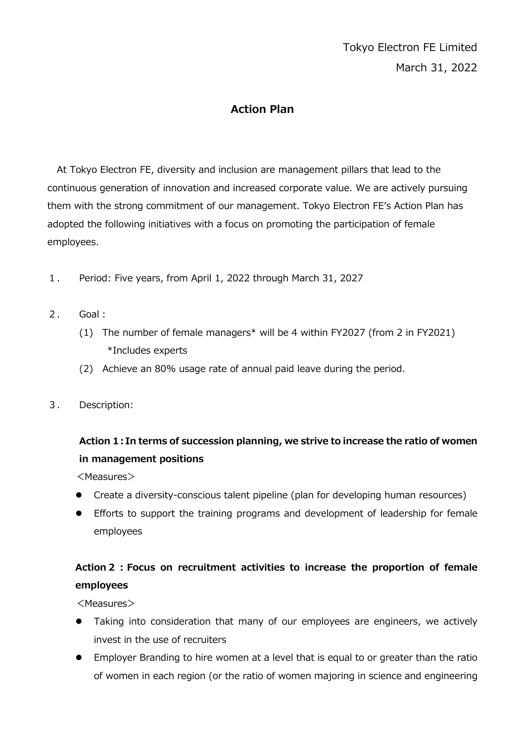#### **Action Plan**

At Tokyo Electron FE, diversity and inclusion are management pillars that lead to the continuous generation of innovation and increased corporate value. We are actively pursuing them with the strong commitment of our management. Tokyo Electron FE's Action Plan has adopted the following initiatives with a focus on promoting the participation of female employees.

- 1. Period: Five years, from April 1, 2022 through March 31, 2027
- 2. Goal:
	- (1) The number of female managers\* will be 4 within FY2027 (from 2 in FY2021) \*Includes experts
	- (2) Achieve an 80% usage rate of annual paid leave during the period.
- 3. Description:

## **Action 1:In terms of succession planning, we strive to increase the ratio of women in management positions**

<Measures>

- Create a diversity-conscious talent pipeline (plan for developing human resources)
- Efforts to support the training programs and development of leadership for female employees

## **Action2:Focus on recruitment activities to increase the proportion of female employees**

<Measures>

- Taking into consideration that many of our employees are engineers, we actively invest in the use of recruiters
- Employer Branding to hire women at a level that is equal to or greater than the ratio of women in each region (or the ratio of women majoring in science and engineering